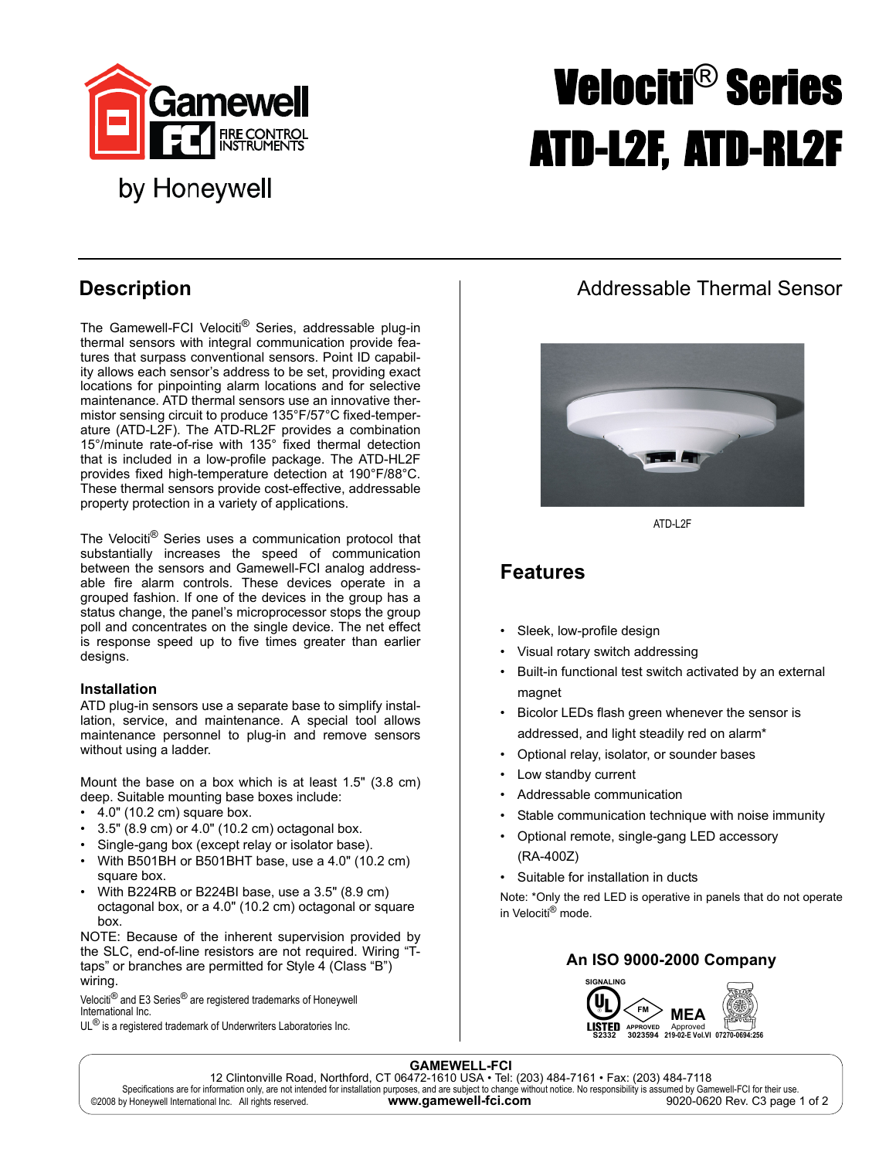

# by Honeywell

# Velociti® Series ATD-L2F, ATD-RL2F

The Gamewell-FCI Velociti<sup>®</sup> Series, addressable plug-in thermal sensors with integral communication provide features that surpass conventional sensors. Point ID capability allows each sensor's address to be set, providing exact locations for pinpointing alarm locations and for selective maintenance. ATD thermal sensors use an innovative thermistor sensing circuit to produce 135°F/57°C fixed-temperature (ATD-L2F). The ATD-RL2F provides a combination 15°/minute rate-of-rise with 135° fixed thermal detection that is included in a low-profile package. The ATD-HL2F provides fixed high-temperature detection at 190°F/88°C. These thermal sensors provide cost-effective, addressable property protection in a variety of applications.

The Velociti® Series uses a communication protocol that substantially increases the speed of communication between the sensors and Gamewell-FCI analog addressable fire alarm controls. These devices operate in a grouped fashion. If one of the devices in the group has a status change, the panel's microprocessor stops the group poll and concentrates on the single device. The net effect is response speed up to five times greater than earlier designs.

#### **Installation**

ATD plug-in sensors use a separate base to simplify installation, service, and maintenance. A special tool allows maintenance personnel to plug-in and remove sensors without using a ladder.

Mount the base on a box which is at least 1.5" (3.8 cm) deep. Suitable mounting base boxes include:

- $\cdot$  4.0" (10.2 cm) square box.
- $\cdot$  3.5" (8.9 cm) or 4.0" (10.2 cm) octagonal box.
- Single-gang box (except relay or isolator base).
- With B501BH or B501BHT base, use a 4.0" (10.2 cm) square box.
- With B224RB or B224BI base, use a 3.5" (8.9 cm) octagonal box, or a 4.0" (10.2 cm) octagonal or square box.

NOTE: Because of the inherent supervision provided by the SLC, end-of-line resistors are not required. Wiring "Ttaps" or branches are permitted for Style 4 (Class "B") wiring.

Velociti<sup>®</sup> and E3 Series<sup>®</sup> are registered trademarks of Honeywell International Inc.

 $\mathsf{UL}^{\circledR}$  is a registered trademark of Underwriters Laboratories Inc.

# **Description Construction Addressable Thermal Sensor**



ATD-L2F

## **Features**

- Sleek, low-profile design
- Visual rotary switch addressing
- Built-in functional test switch activated by an external magnet
- Bicolor LEDs flash green whenever the sensor is addressed, and light steadily red on alarm\*
- Optional relay, isolator, or sounder bases
- Low standby current
- Addressable communication
- Stable communication technique with noise immunity
- Optional remote, single-gang LED accessory (RA-400Z)
- Suitable for installation in ducts

Note: \*Only the red LED is operative in panels that do not operate in Velociti® mode.

### **An ISO 9000-2000 Company**